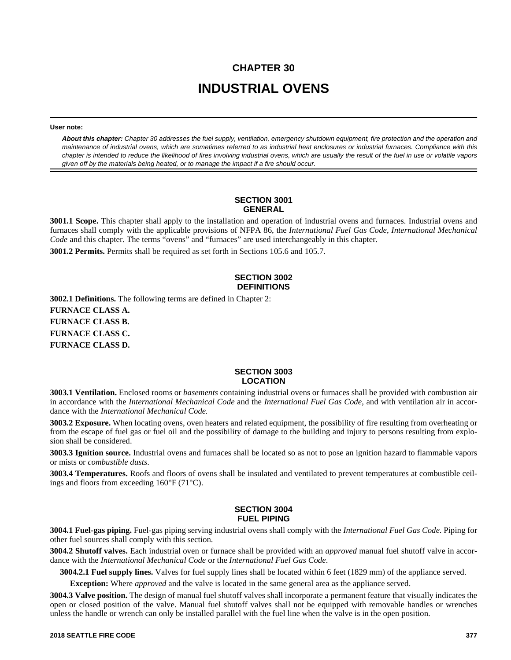# **CHAPTER 30 INDUSTRIAL OVENS**

**User note:**

*About this chapter: Chapter 30 addresses the fuel supply, ventilation, emergency shutdown equipment, fire protection and the operation and maintenance of industrial ovens, which are sometimes referred to as industrial heat enclosures or industrial furnaces. Compliance with this chapter is intended to reduce the likelihood of fires involving industrial ovens, which are usually the result of the fuel in use or volatile vapors given off by the materials being heated, or to manage the impact if a fire should occur.*

#### **SECTION 3001 GENERAL**

**3001.1 Scope.** This chapter shall apply to the installation and operation of industrial ovens and furnaces. Industrial ovens and furnaces shall comply with the applicable provisions of NFPA 86, the *International Fuel Gas Code*, *International Mechanical Code* and this chapter. The terms "ovens" and "furnaces" are used interchangeably in this chapter. **3001.2 Permits.** Permits shall be required as set forth in Sections 105.6 and 105.7.

# **SECTION 3002 DEFINITIONS**

**3002.1 Definitions.** The following terms are defined in Chapter 2: **FURNACE CLASS A.**

**FURNACE CLASS B. FURNACE CLASS C. FURNACE CLASS D.**

#### **SECTION 3003 LOCATION**

**3003.1 Ventilation.** Enclosed rooms or *basements* containing industrial ovens or furnaces shall be provided with combustion air in accordance with the *International Mechanical Code* and the *International Fuel Gas Code*, and with ventilation air in accordance with the *International Mechanical Code.*

**3003.2 Exposure.** When locating ovens, oven heaters and related equipment, the possibility of fire resulting from overheating or from the escape of fuel gas or fuel oil and the possibility of damage to the building and injury to persons resulting from explosion shall be considered.

**3003.3 Ignition source.** Industrial ovens and furnaces shall be located so as not to pose an ignition hazard to flammable vapors or mists or *combustible dusts*.

**3003.4 Temperatures.** Roofs and floors of ovens shall be insulated and ventilated to prevent temperatures at combustible ceilings and floors from exceeding 160°F (71°C).

#### **SECTION 3004 FUEL PIPING**

**3004.1 Fuel-gas piping.** Fuel-gas piping serving industrial ovens shall comply with the *International Fuel Gas Code*. Piping for other fuel sources shall comply with this section.

**3004.2 Shutoff valves.** Each industrial oven or furnace shall be provided with an *approved* manual fuel shutoff valve in accordance with the *International Mechanical Code* or the *International Fuel Gas Code*.

**3004.2.1 Fuel supply lines.** Valves for fuel supply lines shall be located within 6 feet (1829 mm) of the appliance served.

**Exception:** Where *approved* and the valve is located in the same general area as the appliance served.

**3004.3 Valve position.** The design of manual fuel shutoff valves shall incorporate a permanent feature that visually indicates the open or closed position of the valve. Manual fuel shutoff valves shall not be equipped with removable handles or wrenches unless the handle or wrench can only be installed parallel with the fuel line when the valve is in the open position.